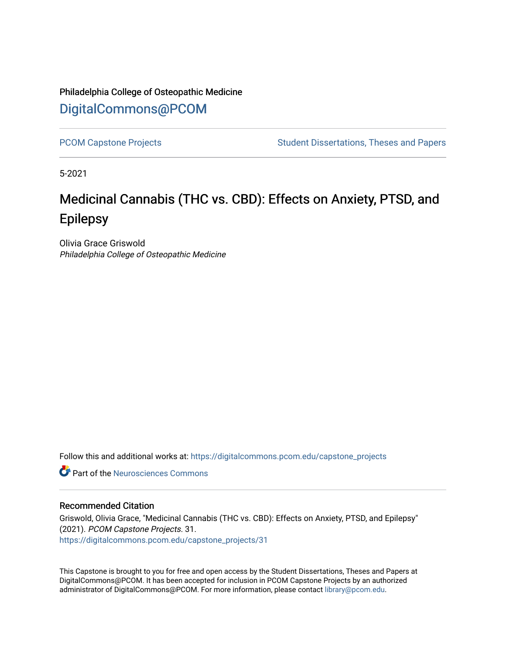## Philadelphia College of Osteopathic Medicine [DigitalCommons@PCOM](https://digitalcommons.pcom.edu/)

[PCOM Capstone Projects](https://digitalcommons.pcom.edu/capstone_projects) **Student Dissertations, Theses and Papers** Student Dissertations, Theses and Papers

5-2021

# Medicinal Cannabis (THC vs. CBD): Effects on Anxiety, PTSD, and Epilepsy

Olivia Grace Griswold Philadelphia College of Osteopathic Medicine

Follow this and additional works at: [https://digitalcommons.pcom.edu/capstone\\_projects](https://digitalcommons.pcom.edu/capstone_projects?utm_source=digitalcommons.pcom.edu%2Fcapstone_projects%2F31&utm_medium=PDF&utm_campaign=PDFCoverPages)

**C** Part of the Neurosciences Commons

### Recommended Citation

Griswold, Olivia Grace, "Medicinal Cannabis (THC vs. CBD): Effects on Anxiety, PTSD, and Epilepsy" (2021). PCOM Capstone Projects. 31. [https://digitalcommons.pcom.edu/capstone\\_projects/31](https://digitalcommons.pcom.edu/capstone_projects/31?utm_source=digitalcommons.pcom.edu%2Fcapstone_projects%2F31&utm_medium=PDF&utm_campaign=PDFCoverPages) 

This Capstone is brought to you for free and open access by the Student Dissertations, Theses and Papers at DigitalCommons@PCOM. It has been accepted for inclusion in PCOM Capstone Projects by an authorized administrator of DigitalCommons@PCOM. For more information, please contact [library@pcom.edu.](mailto:library@pcom.edu)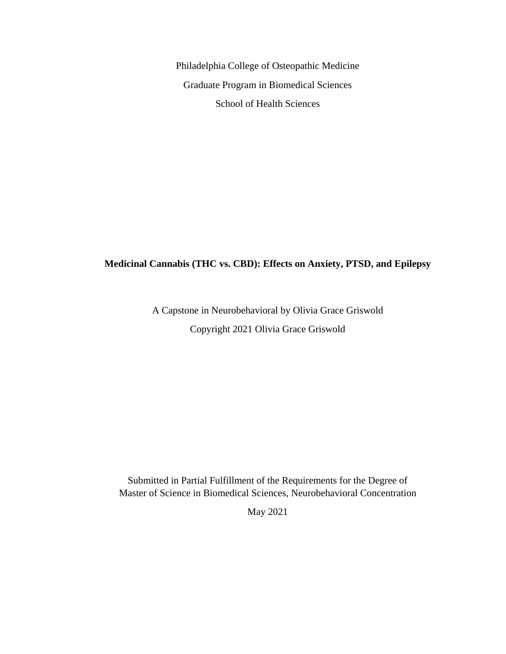Philadelphia College of Osteopathic Medicine Graduate Program in Biomedical Sciences School of Health Sciences

### **Medicinal Cannabis (THC vs. CBD): Effects on Anxiety, PTSD, and Epilepsy**

A Capstone in Neurobehavioral by Olivia Grace Griswold Copyright 2021 Olivia Grace Griswold

Submitted in Partial Fulfillment of the Requirements for the Degree of Master of Science in Biomedical Sciences, Neurobehavioral Concentration

May 2021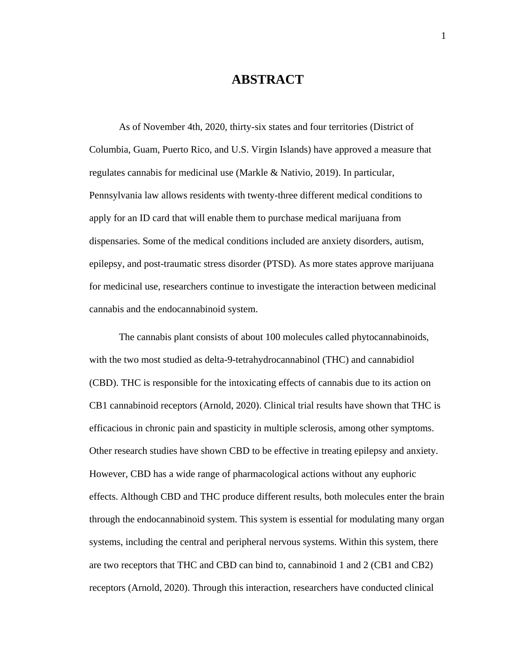### **ABSTRACT**

As of November 4th, 2020, thirty-six states and four territories (District of Columbia, Guam, Puerto Rico, and U.S. Virgin Islands) have approved a measure that regulates cannabis for medicinal use (Markle & Nativio, 2019). In particular, Pennsylvania law allows residents with twenty-three different medical conditions to apply for an ID card that will enable them to purchase medical marijuana from dispensaries. Some of the medical conditions included are anxiety disorders, autism, epilepsy, and post-traumatic stress disorder (PTSD). As more states approve marijuana for medicinal use, researchers continue to investigate the interaction between medicinal cannabis and the endocannabinoid system.

The cannabis plant consists of about 100 molecules called phytocannabinoids, with the two most studied as delta-9-tetrahydrocannabinol (THC) and cannabidiol (CBD). THC is responsible for the intoxicating effects of cannabis due to its action on CB1 cannabinoid receptors (Arnold, 2020). Clinical trial results have shown that THC is efficacious in chronic pain and spasticity in multiple sclerosis, among other symptoms. Other research studies have shown CBD to be effective in treating epilepsy and anxiety. However, CBD has a wide range of pharmacological actions without any euphoric effects. Although CBD and THC produce different results, both molecules enter the brain through the endocannabinoid system. This system is essential for modulating many organ systems, including the central and peripheral nervous systems. Within this system, there are two receptors that THC and CBD can bind to, cannabinoid 1 and 2 (CB1 and CB2) receptors (Arnold, 2020). Through this interaction, researchers have conducted clinical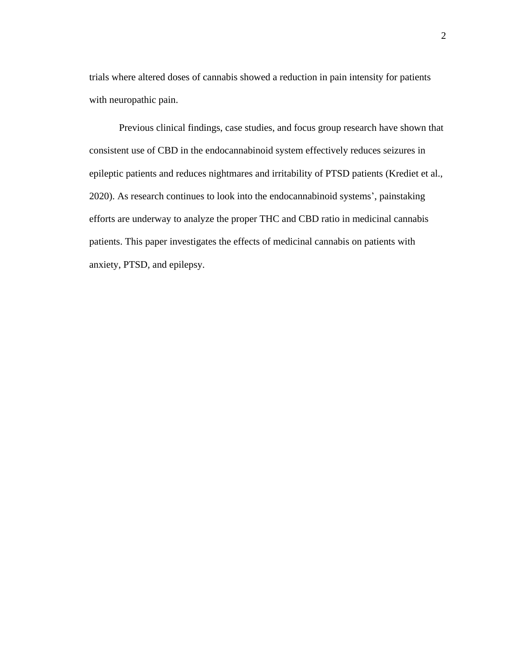trials where altered doses of cannabis showed a reduction in pain intensity for patients with neuropathic pain.

Previous clinical findings, case studies, and focus group research have shown that consistent use of CBD in the endocannabinoid system effectively reduces seizures in epileptic patients and reduces nightmares and irritability of PTSD patients (Krediet et al., 2020). As research continues to look into the endocannabinoid systems', painstaking efforts are underway to analyze the proper THC and CBD ratio in medicinal cannabis patients. This paper investigates the effects of medicinal cannabis on patients with anxiety, PTSD, and epilepsy.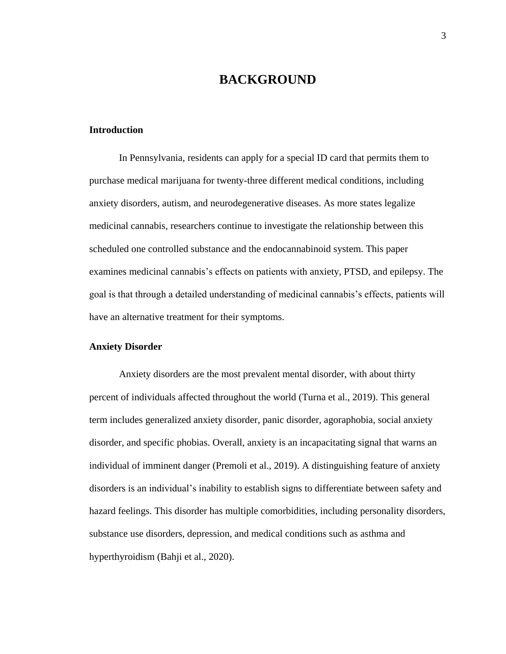### **BACKGROUND**

### **Introduction**

In Pennsylvania, residents can apply for a special ID card that permits them to purchase medical marijuana for twenty-three different medical conditions, including anxiety disorders, autism, and neurodegenerative diseases. As more states legalize medicinal cannabis, researchers continue to investigate the relationship between this scheduled one controlled substance and the endocannabinoid system. This paper examines medicinal cannabis's effects on patients with anxiety, PTSD, and epilepsy. The goal is that through a detailed understanding of medicinal cannabis's effects, patients will have an alternative treatment for their symptoms.

### **Anxiety Disorder**

Anxiety disorders are the most prevalent mental disorder, with about thirty percent of individuals affected throughout the world (Turna et al., 2019). This general term includes generalized anxiety disorder, panic disorder, agoraphobia, social anxiety disorder, and specific phobias. Overall, anxiety is an incapacitating signal that warns an individual of imminent danger (Premoli et al., 2019). A distinguishing feature of anxiety disorders is an individual's inability to establish signs to differentiate between safety and hazard feelings. This disorder has multiple comorbidities, including personality disorders, substance use disorders, depression, and medical conditions such as asthma and hyperthyroidism (Bahji et al., 2020).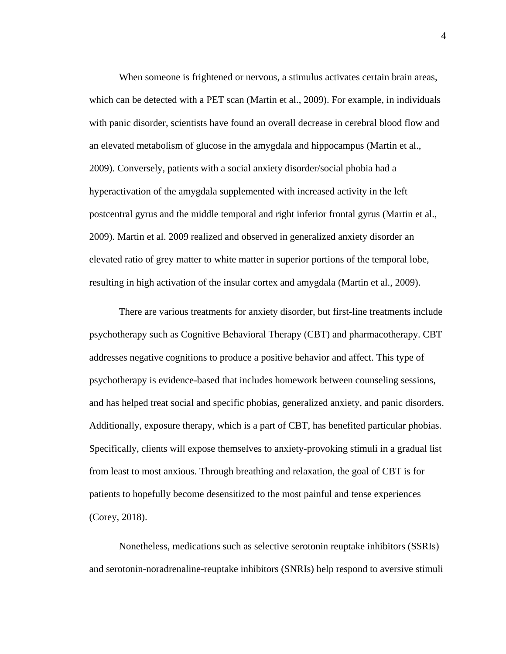When someone is frightened or nervous, a stimulus activates certain brain areas, which can be detected with a PET scan (Martin et al., 2009). For example, in individuals with panic disorder, scientists have found an overall decrease in cerebral blood flow and an elevated metabolism of glucose in the amygdala and hippocampus (Martin et al., 2009). Conversely, patients with a social anxiety disorder/social phobia had a hyperactivation of the amygdala supplemented with increased activity in the left postcentral gyrus and the middle temporal and right inferior frontal gyrus (Martin et al., 2009). Martin et al. 2009 realized and observed in generalized anxiety disorder an elevated ratio of grey matter to white matter in superior portions of the temporal lobe, resulting in high activation of the insular cortex and amygdala (Martin et al., 2009).

There are various treatments for anxiety disorder, but first-line treatments include psychotherapy such as Cognitive Behavioral Therapy (CBT) and pharmacotherapy. CBT addresses negative cognitions to produce a positive behavior and affect. This type of psychotherapy is evidence-based that includes homework between counseling sessions, and has helped treat social and specific phobias, generalized anxiety, and panic disorders. Additionally, exposure therapy, which is a part of CBT, has benefited particular phobias. Specifically, clients will expose themselves to anxiety-provoking stimuli in a gradual list from least to most anxious. Through breathing and relaxation, the goal of CBT is for patients to hopefully become desensitized to the most painful and tense experiences (Corey, 2018).

Nonetheless, medications such as selective serotonin reuptake inhibitors (SSRIs) and serotonin-noradrenaline-reuptake inhibitors (SNRIs) help respond to aversive stimuli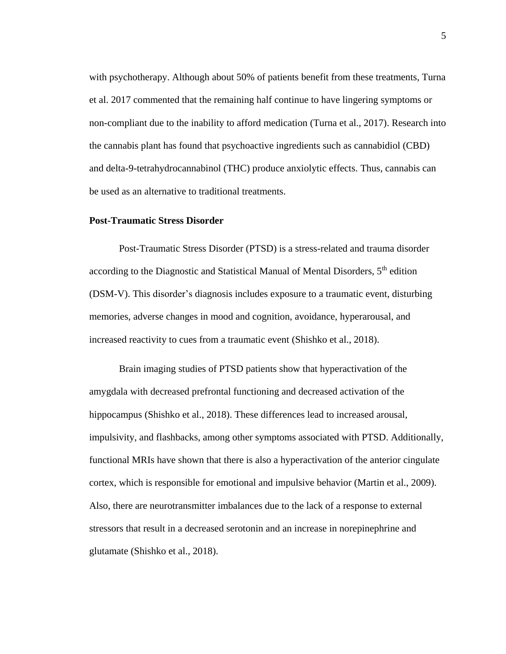with psychotherapy. Although about 50% of patients benefit from these treatments, Turna et al. 2017 commented that the remaining half continue to have lingering symptoms or non-compliant due to the inability to afford medication (Turna et al., 2017). Research into the cannabis plant has found that psychoactive ingredients such as cannabidiol (CBD) and delta-9-tetrahydrocannabinol (THC) produce anxiolytic effects. Thus, cannabis can be used as an alternative to traditional treatments.

#### **Post-Traumatic Stress Disorder**

Post-Traumatic Stress Disorder (PTSD) is a stress-related and trauma disorder according to the Diagnostic and Statistical Manual of Mental Disorders, 5<sup>th</sup> edition (DSM-V). This disorder's diagnosis includes exposure to a traumatic event, disturbing memories, adverse changes in mood and cognition, avoidance, hyperarousal, and increased reactivity to cues from a traumatic event (Shishko et al., 2018).

Brain imaging studies of PTSD patients show that hyperactivation of the amygdala with decreased prefrontal functioning and decreased activation of the hippocampus (Shishko et al., 2018). These differences lead to increased arousal, impulsivity, and flashbacks, among other symptoms associated with PTSD. Additionally, functional MRIs have shown that there is also a hyperactivation of the anterior cingulate cortex, which is responsible for emotional and impulsive behavior (Martin et al., 2009). Also, there are neurotransmitter imbalances due to the lack of a response to external stressors that result in a decreased serotonin and an increase in norepinephrine and glutamate (Shishko et al., 2018).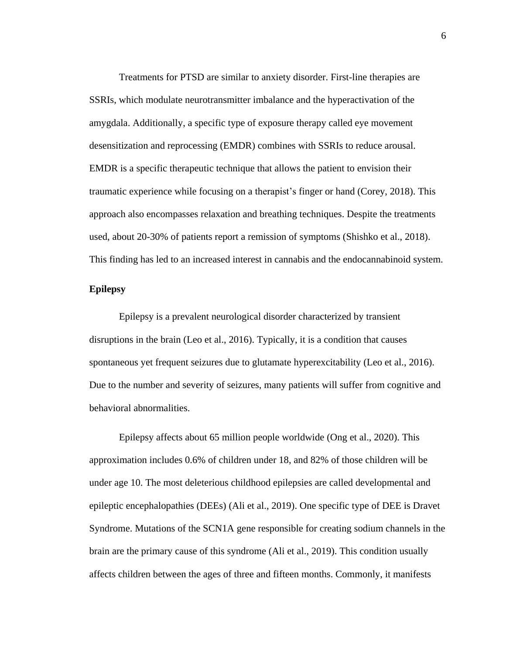Treatments for PTSD are similar to anxiety disorder. First-line therapies are SSRIs, which modulate neurotransmitter imbalance and the hyperactivation of the amygdala. Additionally, a specific type of exposure therapy called eye movement desensitization and reprocessing (EMDR) combines with SSRIs to reduce arousal. EMDR is a specific therapeutic technique that allows the patient to envision their traumatic experience while focusing on a therapist's finger or hand (Corey, 2018). This approach also encompasses relaxation and breathing techniques. Despite the treatments used, about 20-30% of patients report a remission of symptoms (Shishko et al., 2018). This finding has led to an increased interest in cannabis and the endocannabinoid system.

### **Epilepsy**

Epilepsy is a prevalent neurological disorder characterized by transient disruptions in the brain (Leo et al., 2016). Typically, it is a condition that causes spontaneous yet frequent seizures due to glutamate hyperexcitability (Leo et al., 2016). Due to the number and severity of seizures, many patients will suffer from cognitive and behavioral abnormalities.

Epilepsy affects about 65 million people worldwide (Ong et al., 2020). This approximation includes 0.6% of children under 18, and 82% of those children will be under age 10. The most deleterious childhood epilepsies are called developmental and epileptic encephalopathies (DEEs) (Ali et al., 2019). One specific type of DEE is Dravet Syndrome. Mutations of the SCN1A gene responsible for creating sodium channels in the brain are the primary cause of this syndrome (Ali et al., 2019). This condition usually affects children between the ages of three and fifteen months. Commonly, it manifests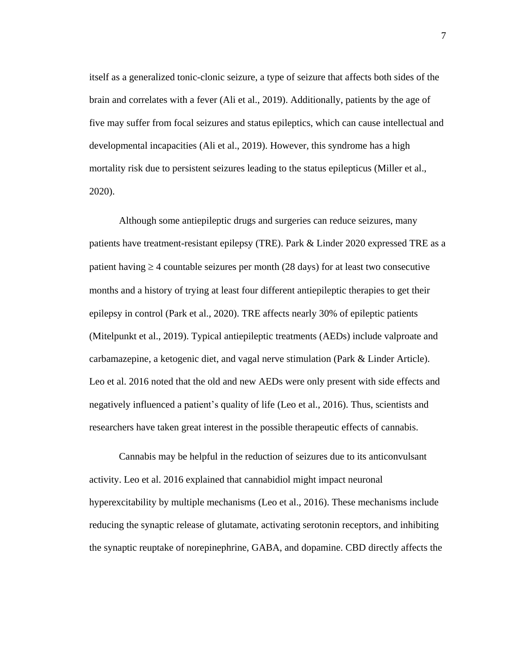itself as a generalized tonic-clonic seizure, a type of seizure that affects both sides of the brain and correlates with a fever (Ali et al., 2019). Additionally, patients by the age of five may suffer from focal seizures and status epileptics, which can cause intellectual and developmental incapacities (Ali et al., 2019). However, this syndrome has a high mortality risk due to persistent seizures leading to the status epilepticus (Miller et al., 2020).

Although some antiepileptic drugs and surgeries can reduce seizures, many patients have treatment-resistant epilepsy (TRE). Park & Linder 2020 expressed TRE as a patient having  $\geq$  4 countable seizures per month (28 days) for at least two consecutive months and a history of trying at least four different antiepileptic therapies to get their epilepsy in control (Park et al., 2020). TRE affects nearly 30% of epileptic patients (Mitelpunkt et al., 2019). Typical antiepileptic treatments (AEDs) include valproate and carbamazepine, a ketogenic diet, and vagal nerve stimulation (Park & Linder Article). Leo et al. 2016 noted that the old and new AEDs were only present with side effects and negatively influenced a patient's quality of life (Leo et al., 2016). Thus, scientists and researchers have taken great interest in the possible therapeutic effects of cannabis.

Cannabis may be helpful in the reduction of seizures due to its anticonvulsant activity. Leo et al. 2016 explained that cannabidiol might impact neuronal hyperexcitability by multiple mechanisms (Leo et al., 2016). These mechanisms include reducing the synaptic release of glutamate, activating serotonin receptors, and inhibiting the synaptic reuptake of norepinephrine, GABA, and dopamine. CBD directly affects the

7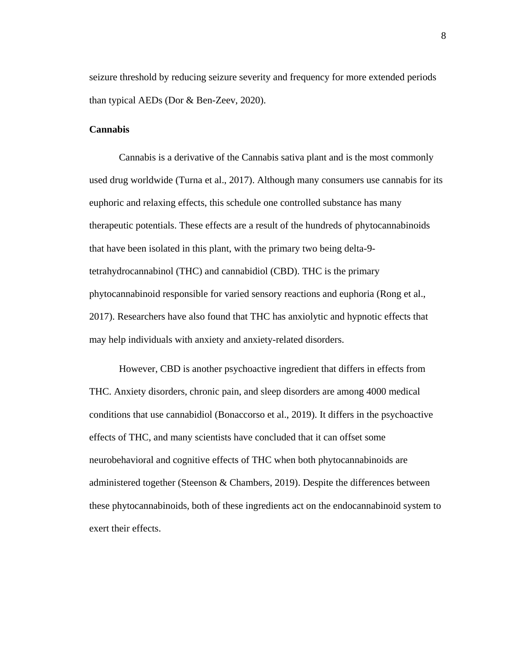seizure threshold by reducing seizure severity and frequency for more extended periods than typical AEDs (Dor & Ben-Zeev, 2020).

### **Cannabis**

Cannabis is a derivative of the Cannabis sativa plant and is the most commonly used drug worldwide (Turna et al., 2017). Although many consumers use cannabis for its euphoric and relaxing effects, this schedule one controlled substance has many therapeutic potentials. These effects are a result of the hundreds of phytocannabinoids that have been isolated in this plant, with the primary two being delta-9 tetrahydrocannabinol (THC) and cannabidiol (CBD). THC is the primary phytocannabinoid responsible for varied sensory reactions and euphoria (Rong et al., 2017). Researchers have also found that THC has anxiolytic and hypnotic effects that may help individuals with anxiety and anxiety-related disorders.

However, CBD is another psychoactive ingredient that differs in effects from THC. Anxiety disorders, chronic pain, and sleep disorders are among 4000 medical conditions that use cannabidiol (Bonaccorso et al., 2019). It differs in the psychoactive effects of THC, and many scientists have concluded that it can offset some neurobehavioral and cognitive effects of THC when both phytocannabinoids are administered together (Steenson & Chambers, 2019). Despite the differences between these phytocannabinoids, both of these ingredients act on the endocannabinoid system to exert their effects.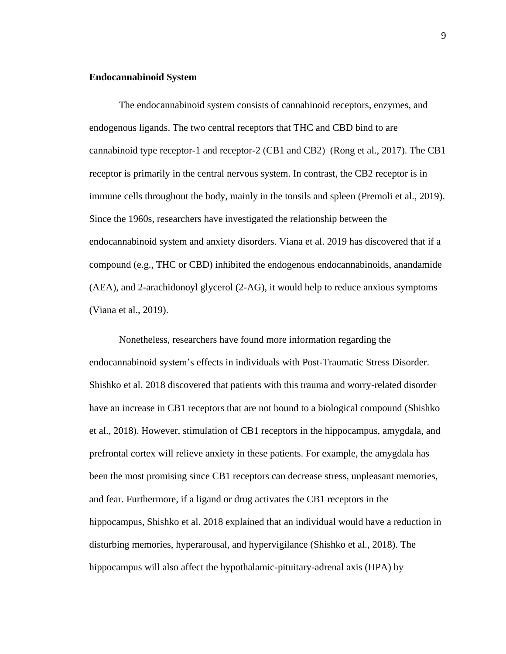### **Endocannabinoid System**

The endocannabinoid system consists of cannabinoid receptors, enzymes, and endogenous ligands. The two central receptors that THC and CBD bind to are cannabinoid type receptor-1 and receptor-2 (CB1 and CB2) (Rong et al., 2017). The CB1 receptor is primarily in the central nervous system. In contrast, the CB2 receptor is in immune cells throughout the body, mainly in the tonsils and spleen (Premoli et al., 2019). Since the 1960s, researchers have investigated the relationship between the endocannabinoid system and anxiety disorders. Viana et al. 2019 has discovered that if a compound (e.g., THC or CBD) inhibited the endogenous endocannabinoids, anandamide (AEA), and 2-arachidonoyl glycerol (2-AG), it would help to reduce anxious symptoms (Viana et al., 2019).

Nonetheless, researchers have found more information regarding the endocannabinoid system's effects in individuals with Post-Traumatic Stress Disorder. Shishko et al. 2018 discovered that patients with this trauma and worry-related disorder have an increase in CB1 receptors that are not bound to a biological compound (Shishko et al., 2018). However, stimulation of CB1 receptors in the hippocampus, amygdala, and prefrontal cortex will relieve anxiety in these patients. For example, the amygdala has been the most promising since CB1 receptors can decrease stress, unpleasant memories, and fear. Furthermore, if a ligand or drug activates the CB1 receptors in the hippocampus, Shishko et al. 2018 explained that an individual would have a reduction in disturbing memories, hyperarousal, and hypervigilance (Shishko et al., 2018). The hippocampus will also affect the hypothalamic-pituitary-adrenal axis (HPA) by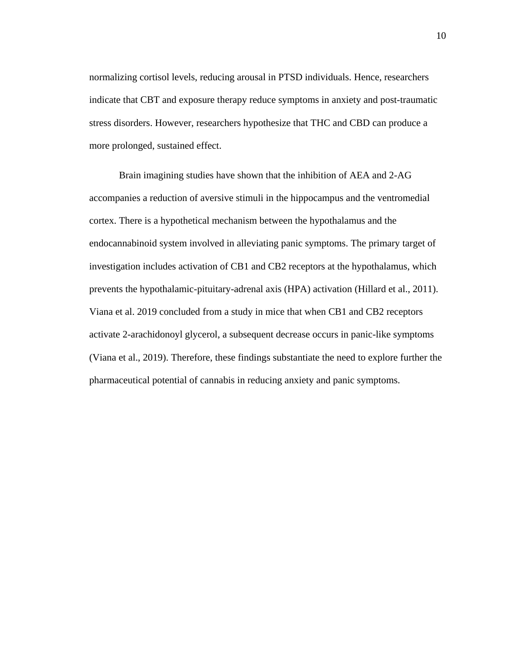normalizing cortisol levels, reducing arousal in PTSD individuals. Hence, researchers indicate that CBT and exposure therapy reduce symptoms in anxiety and post-traumatic stress disorders. However, researchers hypothesize that THC and CBD can produce a more prolonged, sustained effect.

Brain imagining studies have shown that the inhibition of AEA and 2-AG accompanies a reduction of aversive stimuli in the hippocampus and the ventromedial cortex. There is a hypothetical mechanism between the hypothalamus and the endocannabinoid system involved in alleviating panic symptoms. The primary target of investigation includes activation of CB1 and CB2 receptors at the hypothalamus, which prevents the hypothalamic-pituitary-adrenal axis (HPA) activation (Hillard et al., 2011). Viana et al. 2019 concluded from a study in mice that when CB1 and CB2 receptors activate 2-arachidonoyl glycerol, a subsequent decrease occurs in panic-like symptoms (Viana et al., 2019). Therefore, these findings substantiate the need to explore further the pharmaceutical potential of cannabis in reducing anxiety and panic symptoms.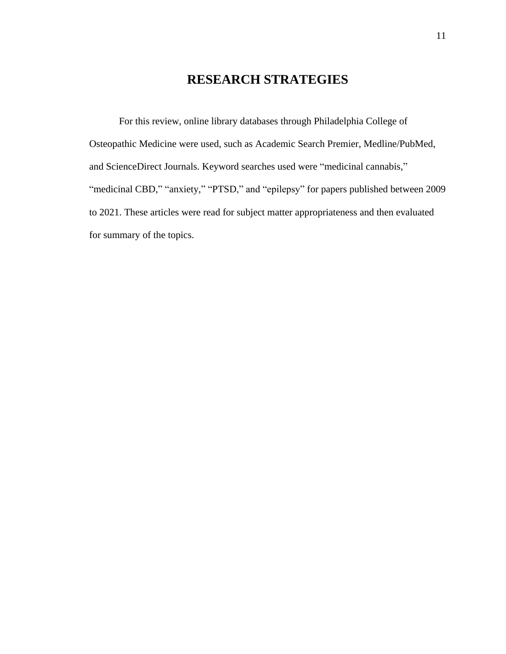## **RESEARCH STRATEGIES**

For this review, online library databases through Philadelphia College of Osteopathic Medicine were used, such as Academic Search Premier, Medline/PubMed, and ScienceDirect Journals. Keyword searches used were "medicinal cannabis," "medicinal CBD," "anxiety," "PTSD," and "epilepsy" for papers published between 2009 to 2021. These articles were read for subject matter appropriateness and then evaluated for summary of the topics.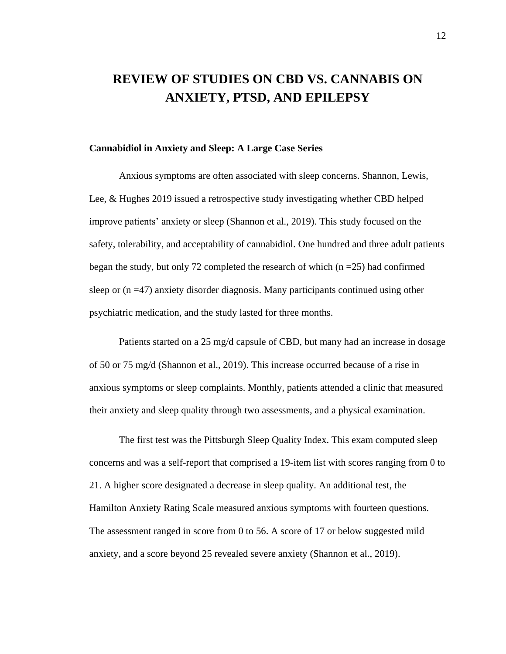## **REVIEW OF STUDIES ON CBD VS. CANNABIS ON ANXIETY, PTSD, AND EPILEPSY**

### **Cannabidiol in Anxiety and Sleep: A Large Case Series**

Anxious symptoms are often associated with sleep concerns. Shannon, Lewis, Lee, & Hughes 2019 issued a retrospective study investigating whether CBD helped improve patients' anxiety or sleep (Shannon et al., 2019). This study focused on the safety, tolerability, and acceptability of cannabidiol. One hundred and three adult patients began the study, but only 72 completed the research of which  $(n = 25)$  had confirmed sleep or (n =47) anxiety disorder diagnosis. Many participants continued using other psychiatric medication, and the study lasted for three months.

Patients started on a 25 mg/d capsule of CBD, but many had an increase in dosage of 50 or 75 mg/d (Shannon et al., 2019). This increase occurred because of a rise in anxious symptoms or sleep complaints. Monthly, patients attended a clinic that measured their anxiety and sleep quality through two assessments, and a physical examination.

The first test was the Pittsburgh Sleep Quality Index. This exam computed sleep concerns and was a self-report that comprised a 19-item list with scores ranging from 0 to 21. A higher score designated a decrease in sleep quality. An additional test, the Hamilton Anxiety Rating Scale measured anxious symptoms with fourteen questions. The assessment ranged in score from 0 to 56. A score of 17 or below suggested mild anxiety, and a score beyond 25 revealed severe anxiety (Shannon et al., 2019).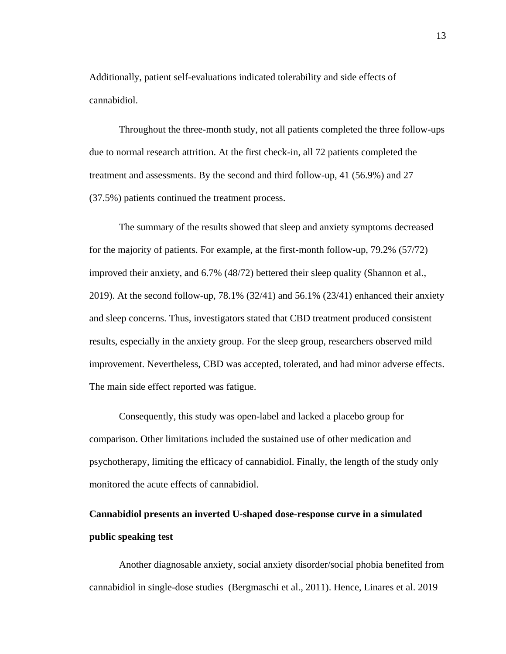Additionally, patient self-evaluations indicated tolerability and side effects of cannabidiol.

Throughout the three-month study, not all patients completed the three follow-ups due to normal research attrition. At the first check-in, all 72 patients completed the treatment and assessments. By the second and third follow-up, 41 (56.9%) and 27 (37.5%) patients continued the treatment process.

The summary of the results showed that sleep and anxiety symptoms decreased for the majority of patients. For example, at the first-month follow-up, 79.2% (57/72) improved their anxiety, and 6.7% (48/72) bettered their sleep quality (Shannon et al., 2019). At the second follow-up,  $78.1\%$  (32/41) and 56.1% (23/41) enhanced their anxiety and sleep concerns. Thus, investigators stated that CBD treatment produced consistent results, especially in the anxiety group. For the sleep group, researchers observed mild improvement. Nevertheless, CBD was accepted, tolerated, and had minor adverse effects. The main side effect reported was fatigue.

Consequently, this study was open-label and lacked a placebo group for comparison. Other limitations included the sustained use of other medication and psychotherapy, limiting the efficacy of cannabidiol. Finally, the length of the study only monitored the acute effects of cannabidiol.

# **Cannabidiol presents an inverted U-shaped dose-response curve in a simulated public speaking test**

Another diagnosable anxiety, social anxiety disorder/social phobia benefited from cannabidiol in single-dose studies (Bergmaschi et al., 2011). Hence, Linares et al. 2019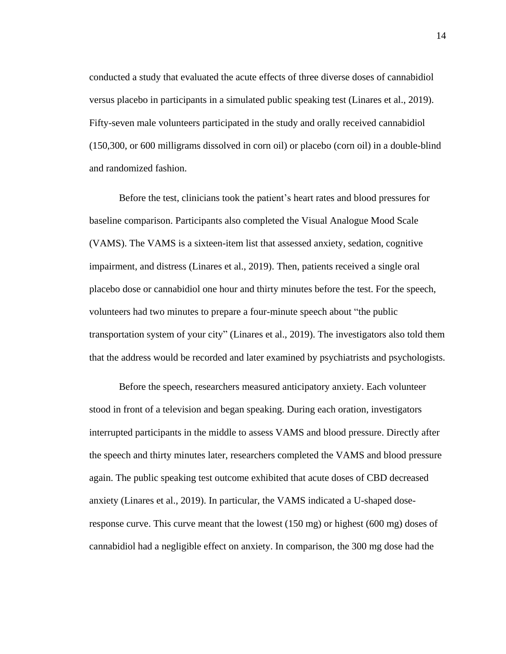conducted a study that evaluated the acute effects of three diverse doses of cannabidiol versus placebo in participants in a simulated public speaking test (Linares et al., 2019). Fifty-seven male volunteers participated in the study and orally received cannabidiol (150,300, or 600 milligrams dissolved in corn oil) or placebo (corn oil) in a double-blind and randomized fashion.

Before the test, clinicians took the patient's heart rates and blood pressures for baseline comparison. Participants also completed the Visual Analogue Mood Scale (VAMS). The VAMS is a sixteen-item list that assessed anxiety, sedation, cognitive impairment, and distress (Linares et al., 2019). Then, patients received a single oral placebo dose or cannabidiol one hour and thirty minutes before the test. For the speech, volunteers had two minutes to prepare a four-minute speech about "the public transportation system of your city" (Linares et al., 2019). The investigators also told them that the address would be recorded and later examined by psychiatrists and psychologists.

Before the speech, researchers measured anticipatory anxiety. Each volunteer stood in front of a television and began speaking. During each oration, investigators interrupted participants in the middle to assess VAMS and blood pressure. Directly after the speech and thirty minutes later, researchers completed the VAMS and blood pressure again. The public speaking test outcome exhibited that acute doses of CBD decreased anxiety (Linares et al., 2019). In particular, the VAMS indicated a U-shaped doseresponse curve. This curve meant that the lowest (150 mg) or highest (600 mg) doses of cannabidiol had a negligible effect on anxiety. In comparison, the 300 mg dose had the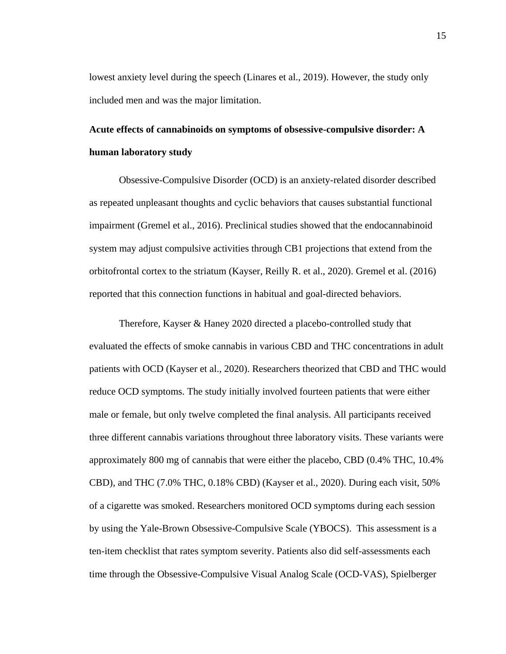lowest anxiety level during the speech (Linares et al., 2019). However, the study only included men and was the major limitation.

# **Acute effects of cannabinoids on symptoms of obsessive-compulsive disorder: A human laboratory study**

Obsessive-Compulsive Disorder (OCD) is an anxiety-related disorder described as repeated unpleasant thoughts and cyclic behaviors that causes substantial functional impairment (Gremel et al., 2016). Preclinical studies showed that the endocannabinoid system may adjust compulsive activities through CB1 projections that extend from the orbitofrontal cortex to the striatum (Kayser, Reilly R. et al., 2020). Gremel et al. (2016) reported that this connection functions in habitual and goal-directed behaviors.

Therefore, Kayser & Haney 2020 directed a placebo-controlled study that evaluated the effects of smoke cannabis in various CBD and THC concentrations in adult patients with OCD (Kayser et al., 2020). Researchers theorized that CBD and THC would reduce OCD symptoms. The study initially involved fourteen patients that were either male or female, but only twelve completed the final analysis. All participants received three different cannabis variations throughout three laboratory visits. These variants were approximately 800 mg of cannabis that were either the placebo, CBD (0.4% THC, 10.4% CBD), and THC (7.0% THC, 0.18% CBD) (Kayser et al., 2020). During each visit, 50% of a cigarette was smoked. Researchers monitored OCD symptoms during each session by using the Yale-Brown Obsessive-Compulsive Scale (YBOCS). This assessment is a ten-item checklist that rates symptom severity. Patients also did self-assessments each time through the Obsessive-Compulsive Visual Analog Scale (OCD-VAS), Spielberger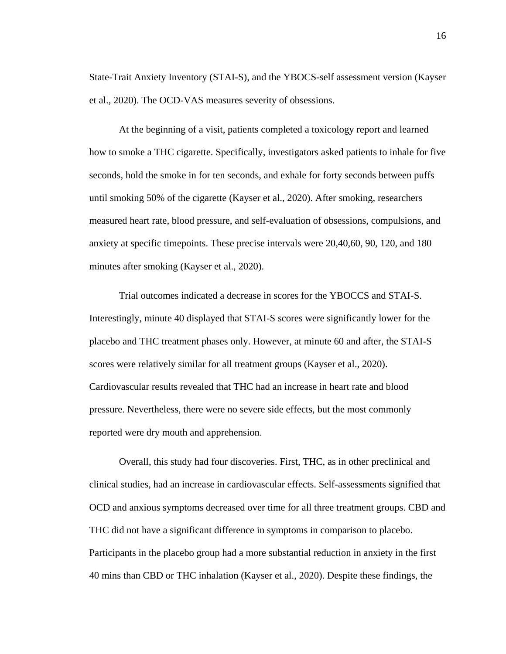State-Trait Anxiety Inventory (STAI-S), and the YBOCS-self assessment version (Kayser et al., 2020). The OCD-VAS measures severity of obsessions.

At the beginning of a visit, patients completed a toxicology report and learned how to smoke a THC cigarette. Specifically, investigators asked patients to inhale for five seconds, hold the smoke in for ten seconds, and exhale for forty seconds between puffs until smoking 50% of the cigarette (Kayser et al., 2020). After smoking, researchers measured heart rate, blood pressure, and self-evaluation of obsessions, compulsions, and anxiety at specific timepoints. These precise intervals were 20,40,60, 90, 120, and 180 minutes after smoking (Kayser et al., 2020).

Trial outcomes indicated a decrease in scores for the YBOCCS and STAI-S. Interestingly, minute 40 displayed that STAI-S scores were significantly lower for the placebo and THC treatment phases only. However, at minute 60 and after, the STAI-S scores were relatively similar for all treatment groups (Kayser et al., 2020). Cardiovascular results revealed that THC had an increase in heart rate and blood pressure. Nevertheless, there were no severe side effects, but the most commonly reported were dry mouth and apprehension.

Overall, this study had four discoveries. First, THC, as in other preclinical and clinical studies, had an increase in cardiovascular effects. Self-assessments signified that OCD and anxious symptoms decreased over time for all three treatment groups. CBD and THC did not have a significant difference in symptoms in comparison to placebo. Participants in the placebo group had a more substantial reduction in anxiety in the first 40 mins than CBD or THC inhalation (Kayser et al., 2020). Despite these findings, the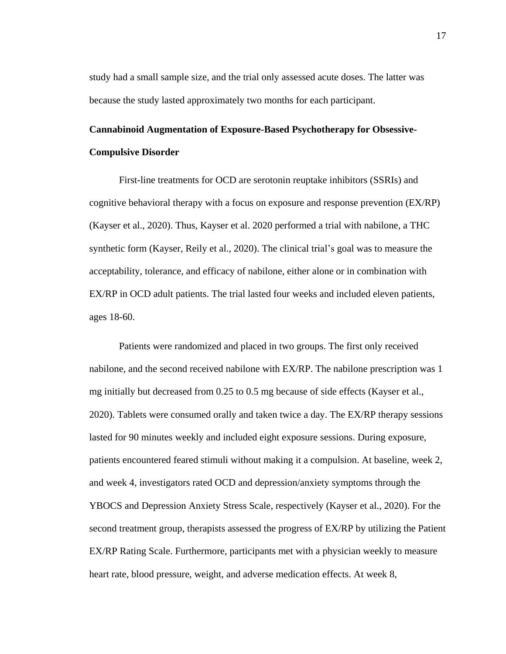study had a small sample size, and the trial only assessed acute doses. The latter was because the study lasted approximately two months for each participant.

# **Cannabinoid Augmentation of Exposure-Based Psychotherapy for Obsessive-Compulsive Disorder**

First-line treatments for OCD are serotonin reuptake inhibitors (SSRIs) and cognitive behavioral therapy with a focus on exposure and response prevention (EX/RP) (Kayser et al., 2020). Thus, Kayser et al. 2020 performed a trial with nabilone, a THC synthetic form (Kayser, Reily et al., 2020). The clinical trial's goal was to measure the acceptability, tolerance, and efficacy of nabilone, either alone or in combination with EX/RP in OCD adult patients. The trial lasted four weeks and included eleven patients, ages 18-60.

Patients were randomized and placed in two groups. The first only received nabilone, and the second received nabilone with EX/RP. The nabilone prescription was 1 mg initially but decreased from 0.25 to 0.5 mg because of side effects (Kayser et al., 2020). Tablets were consumed orally and taken twice a day. The EX/RP therapy sessions lasted for 90 minutes weekly and included eight exposure sessions. During exposure, patients encountered feared stimuli without making it a compulsion. At baseline, week 2, and week 4, investigators rated OCD and depression/anxiety symptoms through the YBOCS and Depression Anxiety Stress Scale, respectively (Kayser et al., 2020). For the second treatment group, therapists assessed the progress of EX/RP by utilizing the Patient EX/RP Rating Scale. Furthermore, participants met with a physician weekly to measure heart rate, blood pressure, weight, and adverse medication effects. At week 8,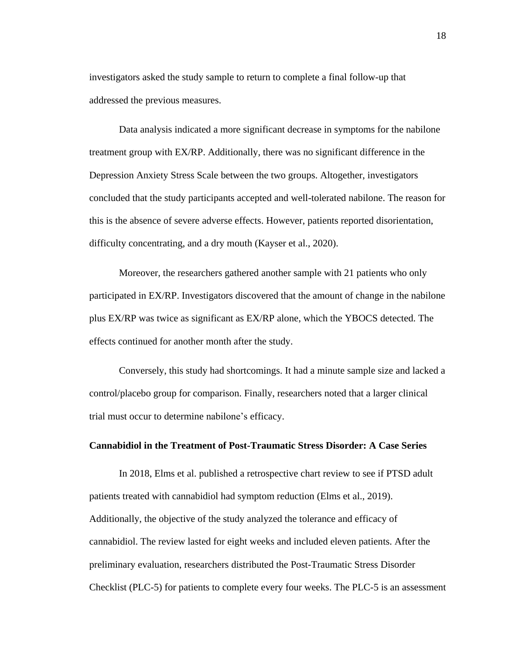investigators asked the study sample to return to complete a final follow-up that addressed the previous measures.

Data analysis indicated a more significant decrease in symptoms for the nabilone treatment group with EX/RP. Additionally, there was no significant difference in the Depression Anxiety Stress Scale between the two groups. Altogether, investigators concluded that the study participants accepted and well-tolerated nabilone. The reason for this is the absence of severe adverse effects. However, patients reported disorientation, difficulty concentrating, and a dry mouth (Kayser et al., 2020).

Moreover, the researchers gathered another sample with 21 patients who only participated in EX/RP. Investigators discovered that the amount of change in the nabilone plus EX/RP was twice as significant as EX/RP alone, which the YBOCS detected. The effects continued for another month after the study.

Conversely, this study had shortcomings. It had a minute sample size and lacked a control/placebo group for comparison. Finally, researchers noted that a larger clinical trial must occur to determine nabilone's efficacy.

### **Cannabidiol in the Treatment of Post-Traumatic Stress Disorder: A Case Series**

In 2018, Elms et al. published a retrospective chart review to see if PTSD adult patients treated with cannabidiol had symptom reduction (Elms et al., 2019). Additionally, the objective of the study analyzed the tolerance and efficacy of cannabidiol. The review lasted for eight weeks and included eleven patients. After the preliminary evaluation, researchers distributed the Post-Traumatic Stress Disorder Checklist (PLC-5) for patients to complete every four weeks. The PLC-5 is an assessment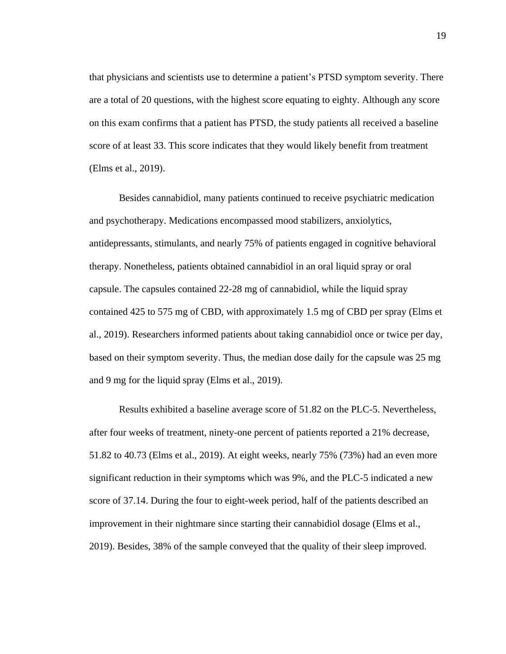that physicians and scientists use to determine a patient's PTSD symptom severity. There are a total of 20 questions, with the highest score equating to eighty. Although any score on this exam confirms that a patient has PTSD, the study patients all received a baseline score of at least 33. This score indicates that they would likely benefit from treatment (Elms et al., 2019).

Besides cannabidiol, many patients continued to receive psychiatric medication and psychotherapy. Medications encompassed mood stabilizers, anxiolytics, antidepressants, stimulants, and nearly 75% of patients engaged in cognitive behavioral therapy. Nonetheless, patients obtained cannabidiol in an oral liquid spray or oral capsule. The capsules contained 22-28 mg of cannabidiol, while the liquid spray contained 425 to 575 mg of CBD, with approximately 1.5 mg of CBD per spray (Elms et al., 2019). Researchers informed patients about taking cannabidiol once or twice per day, based on their symptom severity. Thus, the median dose daily for the capsule was 25 mg and 9 mg for the liquid spray (Elms et al., 2019).

Results exhibited a baseline average score of 51.82 on the PLC-5. Nevertheless, after four weeks of treatment, ninety-one percent of patients reported a 21% decrease, 51.82 to 40.73 (Elms et al., 2019). At eight weeks, nearly 75% (73%) had an even more significant reduction in their symptoms which was 9%, and the PLC-5 indicated a new score of 37.14. During the four to eight-week period, half of the patients described an improvement in their nightmare since starting their cannabidiol dosage (Elms et al., 2019). Besides, 38% of the sample conveyed that the quality of their sleep improved.

19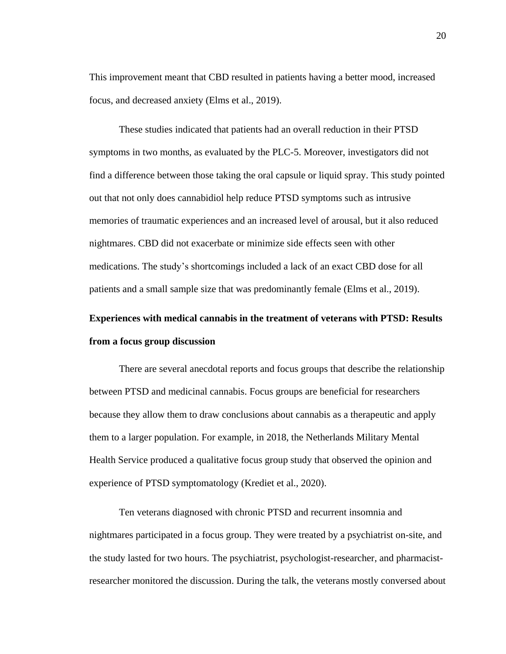This improvement meant that CBD resulted in patients having a better mood, increased focus, and decreased anxiety (Elms et al., 2019).

These studies indicated that patients had an overall reduction in their PTSD symptoms in two months, as evaluated by the PLC-5. Moreover, investigators did not find a difference between those taking the oral capsule or liquid spray. This study pointed out that not only does cannabidiol help reduce PTSD symptoms such as intrusive memories of traumatic experiences and an increased level of arousal, but it also reduced nightmares. CBD did not exacerbate or minimize side effects seen with other medications. The study's shortcomings included a lack of an exact CBD dose for all patients and a small sample size that was predominantly female (Elms et al., 2019).

# **Experiences with medical cannabis in the treatment of veterans with PTSD: Results from a focus group discussion**

There are several anecdotal reports and focus groups that describe the relationship between PTSD and medicinal cannabis. Focus groups are beneficial for researchers because they allow them to draw conclusions about cannabis as a therapeutic and apply them to a larger population. For example, in 2018, the Netherlands Military Mental Health Service produced a qualitative focus group study that observed the opinion and experience of PTSD symptomatology (Krediet et al., 2020).

Ten veterans diagnosed with chronic PTSD and recurrent insomnia and nightmares participated in a focus group. They were treated by a psychiatrist on-site, and the study lasted for two hours. The psychiatrist, psychologist-researcher, and pharmacistresearcher monitored the discussion. During the talk, the veterans mostly conversed about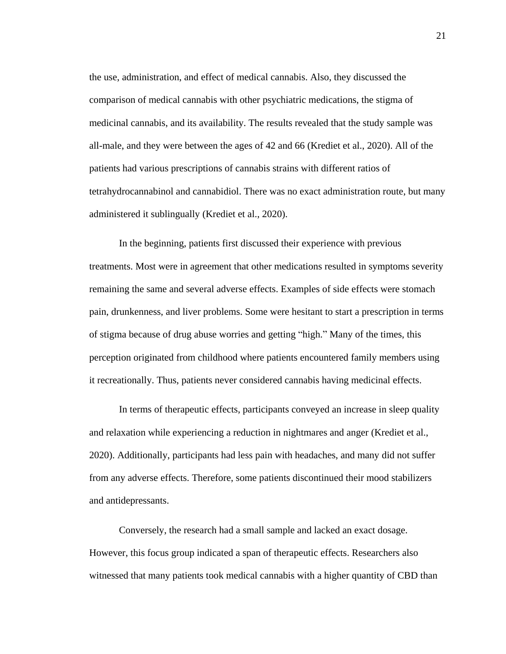the use, administration, and effect of medical cannabis. Also, they discussed the comparison of medical cannabis with other psychiatric medications, the stigma of medicinal cannabis, and its availability. The results revealed that the study sample was all-male, and they were between the ages of 42 and 66 (Krediet et al., 2020). All of the patients had various prescriptions of cannabis strains with different ratios of tetrahydrocannabinol and cannabidiol. There was no exact administration route, but many administered it sublingually (Krediet et al., 2020).

In the beginning, patients first discussed their experience with previous treatments. Most were in agreement that other medications resulted in symptoms severity remaining the same and several adverse effects. Examples of side effects were stomach pain, drunkenness, and liver problems. Some were hesitant to start a prescription in terms of stigma because of drug abuse worries and getting "high." Many of the times, this perception originated from childhood where patients encountered family members using it recreationally. Thus, patients never considered cannabis having medicinal effects.

In terms of therapeutic effects, participants conveyed an increase in sleep quality and relaxation while experiencing a reduction in nightmares and anger (Krediet et al., 2020). Additionally, participants had less pain with headaches, and many did not suffer from any adverse effects. Therefore, some patients discontinued their mood stabilizers and antidepressants.

Conversely, the research had a small sample and lacked an exact dosage. However, this focus group indicated a span of therapeutic effects. Researchers also witnessed that many patients took medical cannabis with a higher quantity of CBD than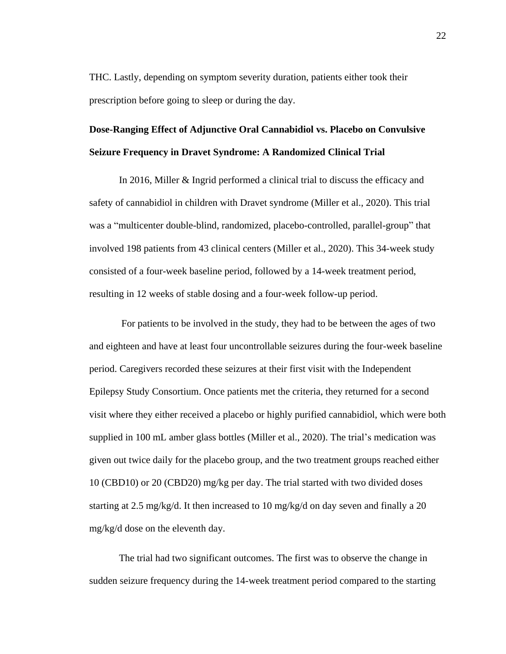THC. Lastly, depending on symptom severity duration, patients either took their prescription before going to sleep or during the day.

# **Dose-Ranging Effect of Adjunctive Oral Cannabidiol vs. Placebo on Convulsive Seizure Frequency in Dravet Syndrome: A Randomized Clinical Trial**

In 2016, Miller & Ingrid performed a clinical trial to discuss the efficacy and safety of cannabidiol in children with Dravet syndrome (Miller et al., 2020). This trial was a "multicenter double-blind, randomized, placebo-controlled, parallel-group" that involved 198 patients from 43 clinical centers (Miller et al., 2020). This 34-week study consisted of a four-week baseline period, followed by a 14-week treatment period, resulting in 12 weeks of stable dosing and a four-week follow-up period.

For patients to be involved in the study, they had to be between the ages of two and eighteen and have at least four uncontrollable seizures during the four-week baseline period. Caregivers recorded these seizures at their first visit with the Independent Epilepsy Study Consortium. Once patients met the criteria, they returned for a second visit where they either received a placebo or highly purified cannabidiol, which were both supplied in 100 mL amber glass bottles (Miller et al., 2020). The trial's medication was given out twice daily for the placebo group, and the two treatment groups reached either 10 (CBD10) or 20 (CBD20) mg/kg per day. The trial started with two divided doses starting at 2.5 mg/kg/d. It then increased to 10 mg/kg/d on day seven and finally a 20 mg/kg/d dose on the eleventh day.

The trial had two significant outcomes. The first was to observe the change in sudden seizure frequency during the 14-week treatment period compared to the starting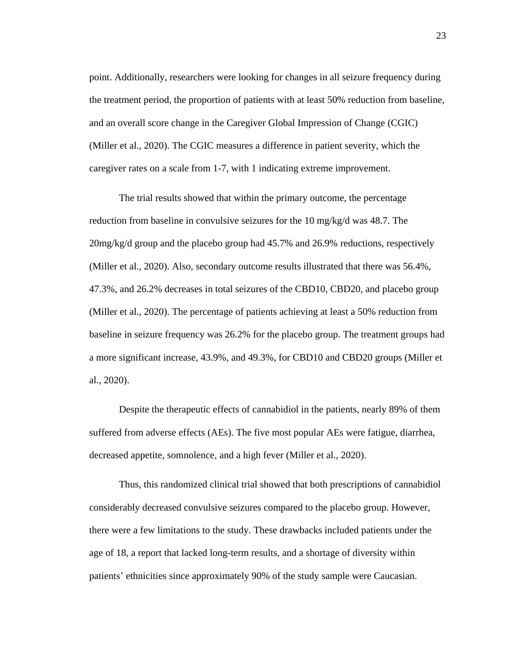point. Additionally, researchers were looking for changes in all seizure frequency during the treatment period, the proportion of patients with at least 50% reduction from baseline, and an overall score change in the Caregiver Global Impression of Change (CGIC) (Miller et al., 2020). The CGIC measures a difference in patient severity, which the caregiver rates on a scale from 1-7, with 1 indicating extreme improvement.

The trial results showed that within the primary outcome, the percentage reduction from baseline in convulsive seizures for the 10 mg/kg/d was 48.7. The 20mg/kg/d group and the placebo group had 45.7% and 26.9% reductions, respectively (Miller et al., 2020). Also, secondary outcome results illustrated that there was 56.4%, 47.3%, and 26.2% decreases in total seizures of the CBD10, CBD20, and placebo group (Miller et al., 2020). The percentage of patients achieving at least a 50% reduction from baseline in seizure frequency was 26.2% for the placebo group. The treatment groups had a more significant increase, 43.9%, and 49.3%, for CBD10 and CBD20 groups (Miller et al., 2020).

Despite the therapeutic effects of cannabidiol in the patients, nearly 89% of them suffered from adverse effects (AEs). The five most popular AEs were fatigue, diarrhea, decreased appetite, somnolence, and a high fever (Miller et al., 2020).

Thus, this randomized clinical trial showed that both prescriptions of cannabidiol considerably decreased convulsive seizures compared to the placebo group. However, there were a few limitations to the study. These drawbacks included patients under the age of 18, a report that lacked long-term results, and a shortage of diversity within patients' ethnicities since approximately 90% of the study sample were Caucasian.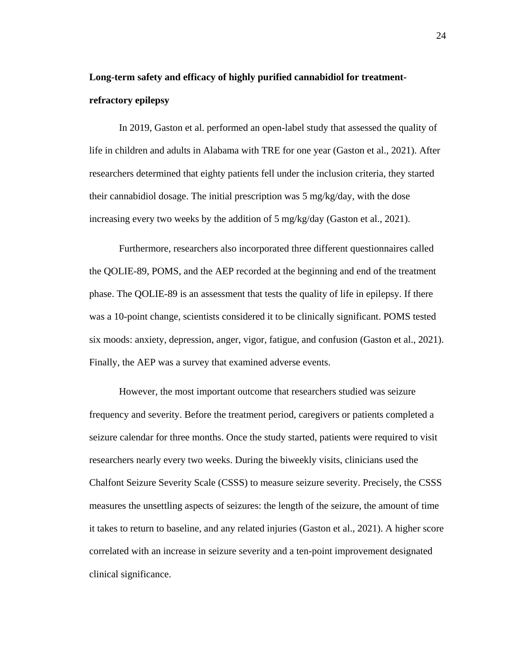# **Long-term safety and efficacy of highly purified cannabidiol for treatmentrefractory epilepsy**

In 2019, Gaston et al. performed an open-label study that assessed the quality of life in children and adults in Alabama with TRE for one year (Gaston et al., 2021). After researchers determined that eighty patients fell under the inclusion criteria, they started their cannabidiol dosage. The initial prescription was 5 mg/kg/day, with the dose increasing every two weeks by the addition of 5 mg/kg/day (Gaston et al., 2021).

Furthermore, researchers also incorporated three different questionnaires called the QOLIE-89, POMS, and the AEP recorded at the beginning and end of the treatment phase. The QOLIE-89 is an assessment that tests the quality of life in epilepsy. If there was a 10-point change, scientists considered it to be clinically significant. POMS tested six moods: anxiety, depression, anger, vigor, fatigue, and confusion (Gaston et al., 2021). Finally, the AEP was a survey that examined adverse events.

However, the most important outcome that researchers studied was seizure frequency and severity. Before the treatment period, caregivers or patients completed a seizure calendar for three months. Once the study started, patients were required to visit researchers nearly every two weeks. During the biweekly visits, clinicians used the Chalfont Seizure Severity Scale (CSSS) to measure seizure severity. Precisely, the CSSS measures the unsettling aspects of seizures: the length of the seizure, the amount of time it takes to return to baseline, and any related injuries (Gaston et al., 2021). A higher score correlated with an increase in seizure severity and a ten-point improvement designated clinical significance.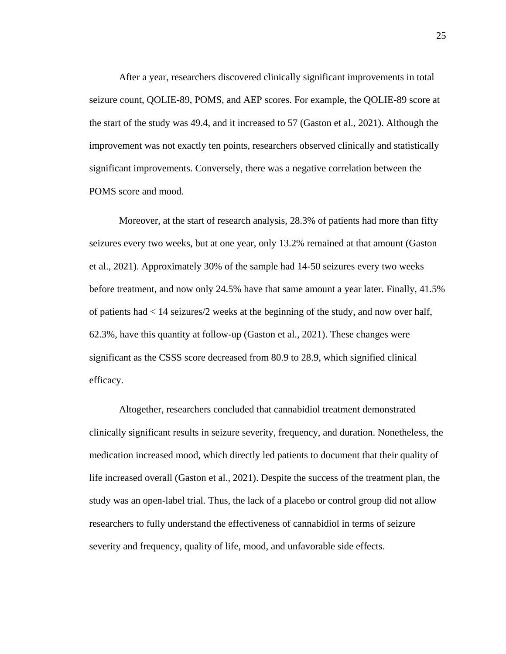After a year, researchers discovered clinically significant improvements in total seizure count, QOLIE-89, POMS, and AEP scores. For example, the QOLIE-89 score at the start of the study was 49.4, and it increased to 57 (Gaston et al., 2021). Although the improvement was not exactly ten points, researchers observed clinically and statistically significant improvements. Conversely, there was a negative correlation between the POMS score and mood.

Moreover, at the start of research analysis, 28.3% of patients had more than fifty seizures every two weeks, but at one year, only 13.2% remained at that amount (Gaston et al., 2021). Approximately 30% of the sample had 14-50 seizures every two weeks before treatment, and now only 24.5% have that same amount a year later. Finally, 41.5% of patients had < 14 seizures/2 weeks at the beginning of the study, and now over half, 62.3%, have this quantity at follow-up (Gaston et al., 2021). These changes were significant as the CSSS score decreased from 80.9 to 28.9, which signified clinical efficacy.

Altogether, researchers concluded that cannabidiol treatment demonstrated clinically significant results in seizure severity, frequency, and duration. Nonetheless, the medication increased mood, which directly led patients to document that their quality of life increased overall (Gaston et al., 2021). Despite the success of the treatment plan, the study was an open-label trial. Thus, the lack of a placebo or control group did not allow researchers to fully understand the effectiveness of cannabidiol in terms of seizure severity and frequency, quality of life, mood, and unfavorable side effects.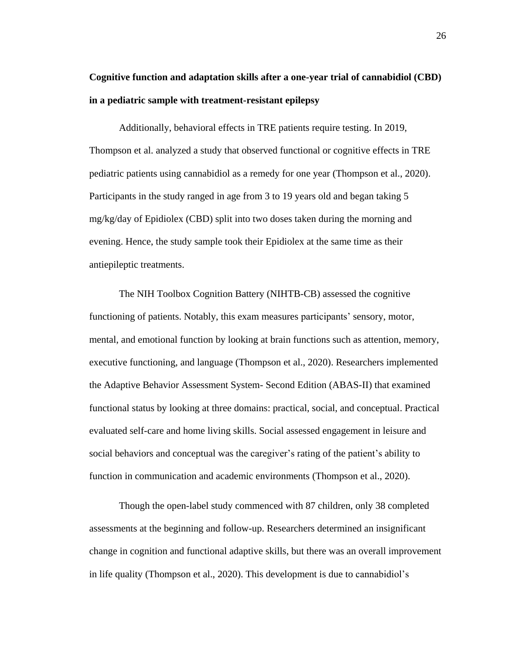# **Cognitive function and adaptation skills after a one-year trial of cannabidiol (CBD) in a pediatric sample with treatment-resistant epilepsy**

Additionally, behavioral effects in TRE patients require testing. In 2019, Thompson et al. analyzed a study that observed functional or cognitive effects in TRE pediatric patients using cannabidiol as a remedy for one year (Thompson et al., 2020). Participants in the study ranged in age from 3 to 19 years old and began taking 5 mg/kg/day of Epidiolex (CBD) split into two doses taken during the morning and evening. Hence, the study sample took their Epidiolex at the same time as their antiepileptic treatments.

The NIH Toolbox Cognition Battery (NIHTB-CB) assessed the cognitive functioning of patients. Notably, this exam measures participants' sensory, motor, mental, and emotional function by looking at brain functions such as attention, memory, executive functioning, and language (Thompson et al., 2020). Researchers implemented the Adaptive Behavior Assessment System- Second Edition (ABAS-II) that examined functional status by looking at three domains: practical, social, and conceptual. Practical evaluated self-care and home living skills. Social assessed engagement in leisure and social behaviors and conceptual was the caregiver's rating of the patient's ability to function in communication and academic environments (Thompson et al., 2020).

Though the open-label study commenced with 87 children, only 38 completed assessments at the beginning and follow-up. Researchers determined an insignificant change in cognition and functional adaptive skills, but there was an overall improvement in life quality (Thompson et al., 2020). This development is due to cannabidiol's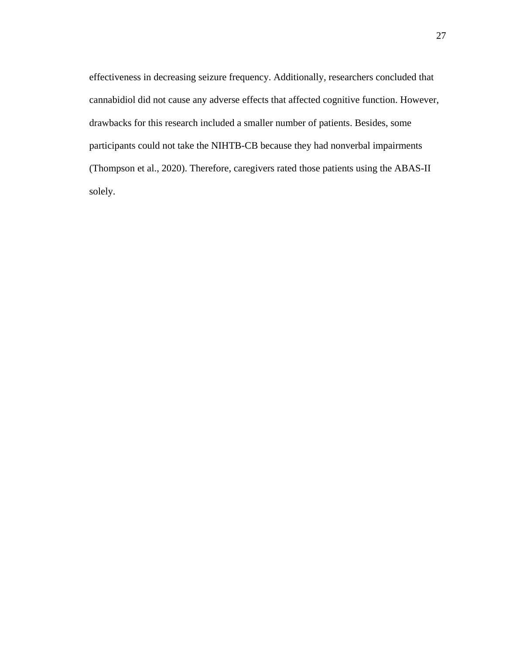effectiveness in decreasing seizure frequency. Additionally, researchers concluded that cannabidiol did not cause any adverse effects that affected cognitive function. However, drawbacks for this research included a smaller number of patients. Besides, some participants could not take the NIHTB-CB because they had nonverbal impairments (Thompson et al., 2020). Therefore, caregivers rated those patients using the ABAS-II solely.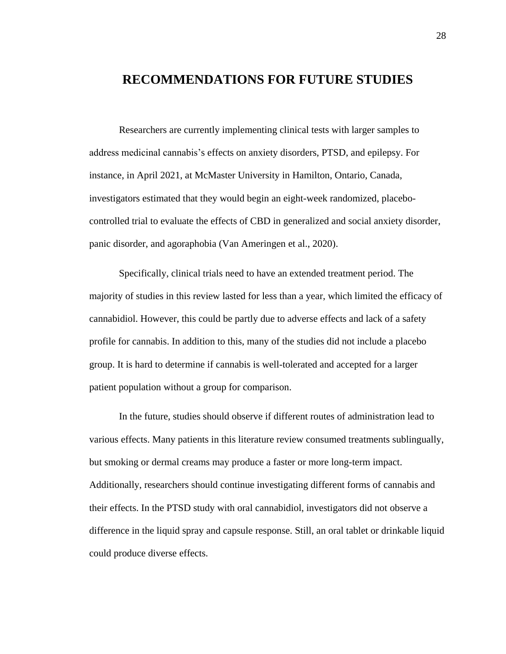## **RECOMMENDATIONS FOR FUTURE STUDIES**

Researchers are currently implementing clinical tests with larger samples to address medicinal cannabis's effects on anxiety disorders, PTSD, and epilepsy. For instance, in April 2021, at McMaster University in Hamilton, Ontario, Canada, investigators estimated that they would begin an eight-week randomized, placebocontrolled trial to evaluate the effects of CBD in generalized and social anxiety disorder, panic disorder, and agoraphobia (Van Ameringen et al., 2020).

Specifically, clinical trials need to have an extended treatment period. The majority of studies in this review lasted for less than a year, which limited the efficacy of cannabidiol. However, this could be partly due to adverse effects and lack of a safety profile for cannabis. In addition to this, many of the studies did not include a placebo group. It is hard to determine if cannabis is well-tolerated and accepted for a larger patient population without a group for comparison.

In the future, studies should observe if different routes of administration lead to various effects. Many patients in this literature review consumed treatments sublingually, but smoking or dermal creams may produce a faster or more long-term impact. Additionally, researchers should continue investigating different forms of cannabis and their effects. In the PTSD study with oral cannabidiol, investigators did not observe a difference in the liquid spray and capsule response. Still, an oral tablet or drinkable liquid could produce diverse effects.

28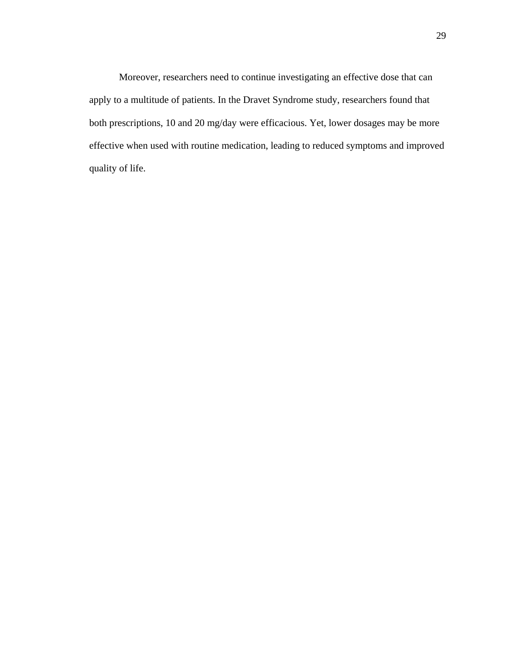Moreover, researchers need to continue investigating an effective dose that can apply to a multitude of patients. In the Dravet Syndrome study, researchers found that both prescriptions, 10 and 20 mg/day were efficacious. Yet, lower dosages may be more effective when used with routine medication, leading to reduced symptoms and improved quality of life.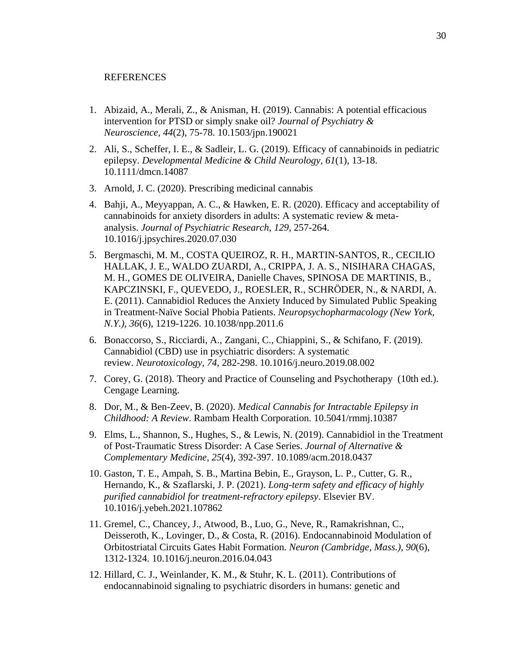#### REFERENCES

- 1. Abizaid, A., Merali, Z., & Anisman, H. (2019). Cannabis: A potential efficacious intervention for PTSD or simply snake oil? *Journal of Psychiatry & Neuroscience, 44*(2), 75-78. 10.1503/jpn.190021
- 2. Ali, S., Scheffer, I. E., & Sadleir, L. G. (2019). Efficacy of cannabinoids in pediatric epilepsy. *Developmental Medicine & Child Neurology, 61*(1), 13-18. 10.1111/dmcn.14087
- 3. Arnold, J. C. (2020). Prescribing medicinal cannabis
- 4. Bahji, A., Meyyappan, A. C., & Hawken, E. R. (2020). Efficacy and acceptability of cannabinoids for anxiety disorders in adults: A systematic review & metaanalysis. *Journal of Psychiatric Research, 129*, 257-264. 10.1016/j.jpsychires.2020.07.030
- 5. Bergmaschi, M. M., COSTA QUEIROZ, R. H., MARTIN-SANTOS, R., CECILIO HALLAK, J. E., WALDO ZUARDI, A., CRIPPA, J. A. S., NISIHARA CHAGAS, M. H., GOMES DE OLIVEIRA, Danielle Chaves, SPINOSA DE MARTINIS, B., KAPCZINSKI, F., QUEVEDO, J., ROESLER, R., SCHRÖDER, N., & NARDI, A. E. (2011). Cannabidiol Reduces the Anxiety Induced by Simulated Public Speaking in Treatment-Naïve Social Phobia Patients. *Neuropsychopharmacology (New York, N.Y.), 36*(6), 1219-1226. 10.1038/npp.2011.6
- 6. Bonaccorso, S., Ricciardi, A., Zangani, C., Chiappini, S., & Schifano, F. (2019). Cannabidiol (CBD) use in psychiatric disorders: A systematic review. *Neurotoxicology, 74*, 282-298. 10.1016/j.neuro.2019.08.002
- 7. Corey, G. (2018). Theory and Practice of Counseling and Psychotherapy (10th ed.). Cengage Learning.
- 8. Dor, M., & Ben-Zeev, B. (2020). *Medical Cannabis for Intractable Epilepsy in Childhood: A Review*. Rambam Health Corporation. 10.5041/rmmj.10387
- 9. Elms, L., Shannon, S., Hughes, S., & Lewis, N. (2019). Cannabidiol in the Treatment of Post-Traumatic Stress Disorder: A Case Series. *Journal of Alternative & Complementary Medicine, 25*(4), 392-397. 10.1089/acm.2018.0437
- 10. Gaston, T. E., Ampah, S. B., Martina Bebin, E., Grayson, L. P., Cutter, G. R., Hernando, K., & Szaflarski, J. P. (2021). *Long-term safety and efficacy of highly purified cannabidiol for treatment-refractory epilepsy*. Elsevier BV. 10.1016/j.yebeh.2021.107862
- 11. Gremel, C., Chancey, J., Atwood, B., Luo, G., Neve, R., Ramakrishnan, C., Deisseroth, K., Lovinger, D., & Costa, R. (2016). Endocannabinoid Modulation of Orbitostriatal Circuits Gates Habit Formation. *Neuron (Cambridge, Mass.), 90*(6), 1312-1324. 10.1016/j.neuron.2016.04.043
- 12. Hillard, C. J., Weinlander, K. M., & Stuhr, K. L. (2011). Contributions of endocannabinoid signaling to psychiatric disorders in humans: genetic and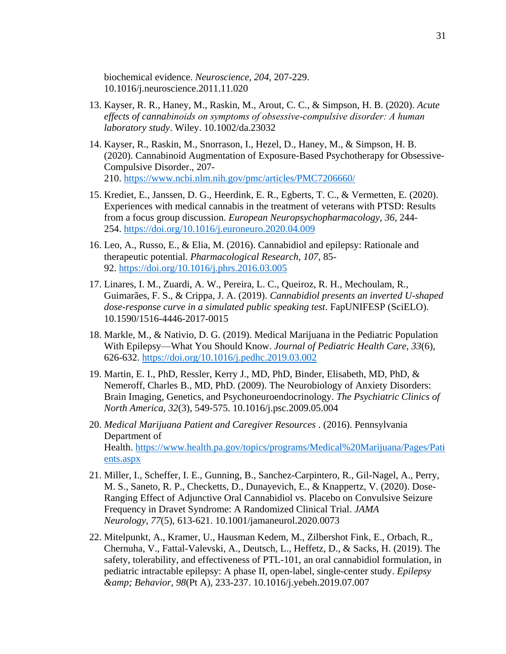biochemical evidence. *Neuroscience, 204*, 207-229. 10.1016/j.neuroscience.2011.11.020

- 13. Kayser, R. R., Haney, M., Raskin, M., Arout, C. C., & Simpson, H. B. (2020). *Acute effects of cannabinoids on symptoms of obsessive‐compulsive disorder: A human laboratory study*. Wiley. 10.1002/da.23032
- 14. Kayser, R., Raskin, M., Snorrason, I., Hezel, D., Haney, M., & Simpson, H. B. (2020). Cannabinoid Augmentation of Exposure-Based Psychotherapy for Obsessive-Compulsive Disorder., 207- 210. <https://www.ncbi.nlm.nih.gov/pmc/articles/PMC7206660/>
- 15. Krediet, E., Janssen, D. G., Heerdink, E. R., Egberts, T. C., & Vermetten, E. (2020). Experiences with medical cannabis in the treatment of veterans with PTSD: Results from a focus group discussion. *European Neuropsychopharmacology, 36*, 244- 254. <https://doi.org/10.1016/j.euroneuro.2020.04.009>
- 16. Leo, A., Russo, E., & Elia, M. (2016). Cannabidiol and epilepsy: Rationale and therapeutic potential. *Pharmacological Research, 107*, 85- 92. <https://doi.org/10.1016/j.phrs.2016.03.005>
- 17. Linares, I. M., Zuardi, A. W., Pereira, L. C., Queiroz, R. H., Mechoulam, R., Guimarães, F. S., & Crippa, J. A. (2019). *Cannabidiol presents an inverted U-shaped dose-response curve in a simulated public speaking test*. FapUNIFESP (SciELO). 10.1590/1516-4446-2017-0015
- 18. Markle, M., & Nativio, D. G. (2019). Medical Marijuana in the Pediatric Population With Epilepsy—What You Should Know. *Journal of Pediatric Health Care, 33*(6), 626-632. <https://doi.org/10.1016/j.pedhc.2019.03.002>
- 19. Martin, E. I., PhD, Ressler, Kerry J., MD, PhD, Binder, Elisabeth, MD, PhD, & Nemeroff, Charles B., MD, PhD. (2009). The Neurobiology of Anxiety Disorders: Brain Imaging, Genetics, and Psychoneuroendocrinology. *The Psychiatric Clinics of North America, 32*(3), 549-575. 10.1016/j.psc.2009.05.004
- 20. *Medical Marijuana Patient and Caregiver Resources .* (2016). Pennsylvania Department of Health. [https://www.health.pa.gov/topics/programs/Medical%20Marijuana/Pages/Pati](https://www.health.pa.gov/topics/programs/Medical%20Marijuana/Pages/Patients.aspx) [ents.aspx](https://www.health.pa.gov/topics/programs/Medical%20Marijuana/Pages/Patients.aspx)
- 21. Miller, I., Scheffer, I. E., Gunning, B., Sanchez-Carpintero, R., Gil-Nagel, A., Perry, M. S., Saneto, R. P., Checketts, D., Dunayevich, E., & Knappertz, V. (2020). Dose-Ranging Effect of Adjunctive Oral Cannabidiol vs. Placebo on Convulsive Seizure Frequency in Dravet Syndrome: A Randomized Clinical Trial. *JAMA Neurology, 77*(5), 613-621. 10.1001/jamaneurol.2020.0073
- 22. Mitelpunkt, A., Kramer, U., Hausman Kedem, M., Zilbershot Fink, E., Orbach, R., Chernuha, V., Fattal-Valevski, A., Deutsch, L., Heffetz, D., & Sacks, H. (2019). The safety, tolerability, and effectiveness of PTL-101, an oral cannabidiol formulation, in pediatric intractable epilepsy: A phase II, open-label, single-center study. *Epilepsy & Behavior, 98*(Pt A), 233-237. 10.1016/j.yebeh.2019.07.007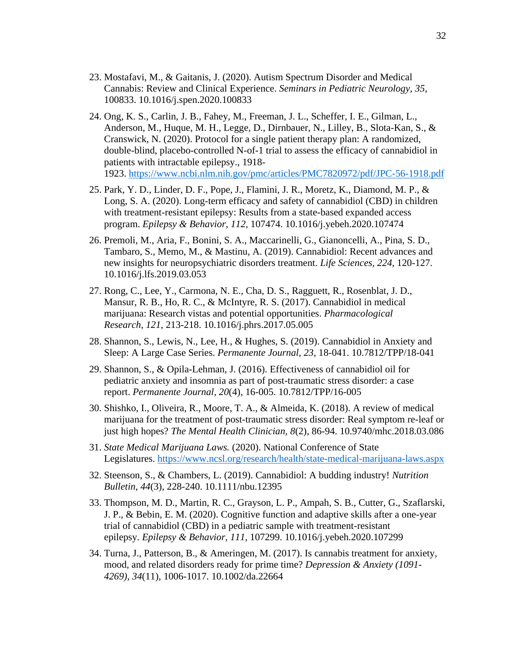- 23. Mostafavi, M., & Gaitanis, J. (2020). Autism Spectrum Disorder and Medical Cannabis: Review and Clinical Experience. *Seminars in Pediatric Neurology, 35*, 100833. 10.1016/j.spen.2020.100833
- 24. Ong, K. S., Carlin, J. B., Fahey, M., Freeman, J. L., Scheffer, I. E., Gilman, L., Anderson, M., Huque, M. H., Legge, D., Dirnbauer, N., Lilley, B., Slota-Kan, S., & Cranswick, N. (2020). Protocol for a single patient therapy plan: A randomized, double-blind, placebo-controlled N-of-1 trial to assess the efficacy of cannabidiol in patients with intractable epilepsy., 1918- 1923. <https://www.ncbi.nlm.nih.gov/pmc/articles/PMC7820972/pdf/JPC-56-1918.pdf>
- 25. Park, Y. D., Linder, D. F., Pope, J., Flamini, J. R., Moretz, K., Diamond, M. P., & Long, S. A. (2020). Long-term efficacy and safety of cannabidiol (CBD) in children with treatment-resistant epilepsy: Results from a state-based expanded access program. *Epilepsy & Behavior, 112*, 107474. 10.1016/j.yebeh.2020.107474
- 26. Premoli, M., Aria, F., Bonini, S. A., Maccarinelli, G., Gianoncelli, A., Pina, S. D., Tambaro, S., Memo, M., & Mastinu, A. (2019). Cannabidiol: Recent advances and new insights for neuropsychiatric disorders treatment. *Life Sciences, 224*, 120-127. 10.1016/j.lfs.2019.03.053
- 27. Rong, C., Lee, Y., Carmona, N. E., Cha, D. S., Ragguett, R., Rosenblat, J. D., Mansur, R. B., Ho, R. C., & McIntyre, R. S. (2017). Cannabidiol in medical marijuana: Research vistas and potential opportunities. *Pharmacological Research, 121*, 213-218. 10.1016/j.phrs.2017.05.005
- 28. Shannon, S., Lewis, N., Lee, H., & Hughes, S. (2019). Cannabidiol in Anxiety and Sleep: A Large Case Series. *Permanente Journal, 23*, 18-041. 10.7812/TPP/18-041
- 29. Shannon, S., & Opila-Lehman, J. (2016). Effectiveness of cannabidiol oil for pediatric anxiety and insomnia as part of post-traumatic stress disorder: a case report. *Permanente Journal, 20*(4), 16-005. 10.7812/TPP/16-005
- 30. Shishko, I., Oliveira, R., Moore, T. A., & Almeida, K. (2018). A review of medical marijuana for the treatment of post-traumatic stress disorder: Real symptom re-leaf or just high hopes? *The Mental Health Clinician, 8*(2), 86-94. 10.9740/mhc.2018.03.086
- 31. *State Medical Marijuana Laws.* (2020). National Conference of State Legislatures. <https://www.ncsl.org/research/health/state-medical-marijuana-laws.aspx>
- 32. Steenson, S., & Chambers, L. (2019). Cannabidiol: A budding industry! *Nutrition Bulletin, 44*(3), 228-240. 10.1111/nbu.12395
- 33. Thompson, M. D., Martin, R. C., Grayson, L. P., Ampah, S. B., Cutter, G., Szaflarski, J. P., & Bebin, E. M. (2020). Cognitive function and adaptive skills after a one-year trial of cannabidiol (CBD) in a pediatric sample with treatment-resistant epilepsy. *Epilepsy & Behavior, 111*, 107299. 10.1016/j.yebeh.2020.107299
- 34. Turna, J., Patterson, B., & Ameringen, M. (2017). Is cannabis treatment for anxiety, mood, and related disorders ready for prime time? *Depression & Anxiety (1091- 4269), 34*(11), 1006-1017. 10.1002/da.22664